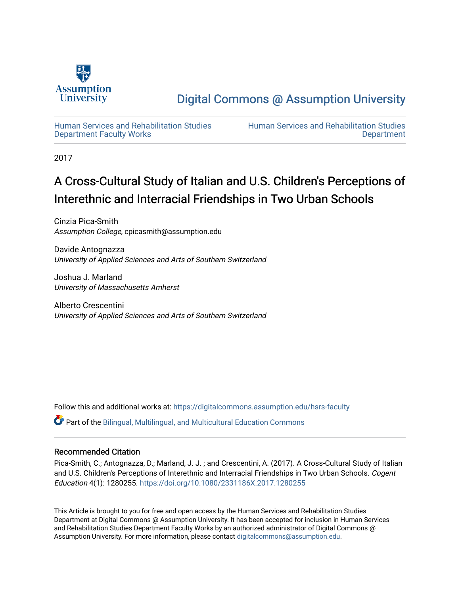

[Digital Commons @ Assumption University](https://digitalcommons.assumption.edu/) 

[Human Services and Rehabilitation Studies](https://digitalcommons.assumption.edu/hsrs-faculty)  [Department Faculty Works](https://digitalcommons.assumption.edu/hsrs-faculty)

[Human Services and Rehabilitation Studies](https://digitalcommons.assumption.edu/hsrs)  **Department** 

2017

# A Cross-Cultural Study of Italian and U.S. Children's Perceptions of Interethnic and Interracial Friendships in Two Urban Schools

Cinzia Pica-Smith Assumption College, cpicasmith@assumption.edu

Davide Antognazza University of Applied Sciences and Arts of Southern Switzerland

Joshua J. Marland University of Massachusetts Amherst

Alberto Crescentini University of Applied Sciences and Arts of Southern Switzerland

Follow this and additional works at: [https://digitalcommons.assumption.edu/hsrs-faculty](https://digitalcommons.assumption.edu/hsrs-faculty?utm_source=digitalcommons.assumption.edu%2Fhsrs-faculty%2F1&utm_medium=PDF&utm_campaign=PDFCoverPages) 

Part of the [Bilingual, Multilingual, and Multicultural Education Commons](http://network.bepress.com/hgg/discipline/785?utm_source=digitalcommons.assumption.edu%2Fhsrs-faculty%2F1&utm_medium=PDF&utm_campaign=PDFCoverPages) 

# Recommended Citation

Pica-Smith, C.; Antognazza, D.; Marland, J. J. ; and Crescentini, A. (2017). A Cross-Cultural Study of Italian and U.S. Children's Perceptions of Interethnic and Interracial Friendships in Two Urban Schools. Cogent Education 4(1): 1280255.<https://doi.org/10.1080/2331186X.2017.1280255>

This Article is brought to you for free and open access by the Human Services and Rehabilitation Studies Department at Digital Commons @ Assumption University. It has been accepted for inclusion in Human Services and Rehabilitation Studies Department Faculty Works by an authorized administrator of Digital Commons @ Assumption University. For more information, please contact [digitalcommons@assumption.edu.](mailto:digitalcommons@assumption.edu)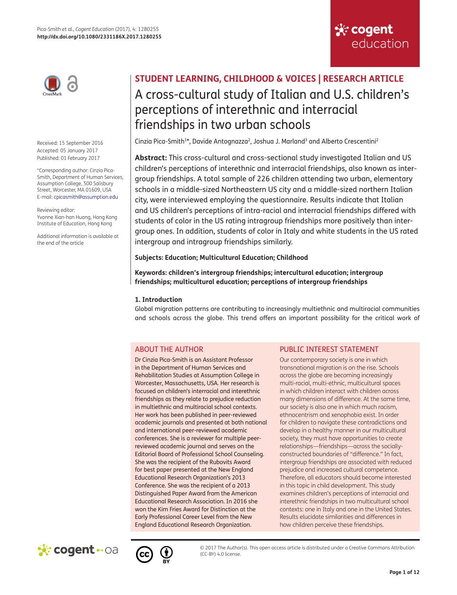

Received: 15 September 2016 Accepted: 05 January 2017 Published: 01 February 2017

<span id="page-1-0"></span>\*Corresponding author: Cinzia Pica-Smith, Department of Human Services, Assumption College, 500 Salisbury Street, Worcester, MA 01609, USA E-mail: [cpicasmith@assumption.edu](mailto:cpicasmith@assumption.edu)

Reviewing editor: Yvonne Xian-han Huang, Hong Kong Institute of Education, Hong Kong

Additional information is available at the end of the article

# **STUDENT LEARNING, CHILDHOOD & VOICES | RESEARCH ARTICLE** A cross-cultural study of Italian and U.S. children's perceptions of interethnic and interracial friendships in two urban schools

<span id="page-1-1"></span>Cinzia Pica-Smith<sup>1[\\*](#page-1-0)</sup>, Davide Antognazza<sup>[2](#page-10-1)</sup>, Joshua J. Marland<sup>3</sup> and Alberto Crescentini<sup>2</sup>

**Abstract:** This cross-cultural and cross-sectional study investigated Italian and US children's perceptions of interethnic and interracial friendships, also known as intergroup friendships. A total sample of 226 children attending two urban, elementary schools in a middle-sized Northeastern US city and a middle-sized northern Italian city, were interviewed employing the questionnaire. Results indicate that Italian and US children's perceptions of intra-racial and interracial friendships differed with students of color in the US rating intragroup friendships more positively than intergroup ones. In addition, students of color in Italy and white students in the US rated intergroup and intragroup friendships similarly.

## **Subjects: Education; Multicultural Education; Childhood**

**Keywords: children's intergroup friendships; intercultural education; intergroup friendships; multicultural education; perceptions of intergroup friendships**

## **1. Introduction**

Global migration patterns are contributing to increasingly multiethnic and multiracial communities and schools across the globe. This trend offers an important possibility for the critical work of

# ABOUT THE AUTHOR

Dr Cinzia Pica-Smith is an Assistant Professor in the Department of Human Services and Rehabilitation Studies at Assumption College in Worcester, Massachusetts, USA. Her research is focused on children's interracial and interethnic friendships as they relate to prejudice reduction in multiethnic and multiracial school contexts. Her work has been published in peer-reviewed academic journals and presented at both national and international peer-reviewed academic conferences. She is a reviewer for multiple peerreviewed academic journal and serves on the Editorial Board of Professional School Counseling. She was the recipient of the Rubovits Award for best paper presented at the New England Educational Research Organization's 2013 Conference. She was the recipient of a 2013 Distinguished Paper Award from the American Educational Research Association. In 2016 she won the Kim Fries Award for Distinction at the Early Professional Career Level from the New England Educational Research Organization.

# PUBLIC INTEREST STATEMENT

Our contemporary society is one in which transnational migration is on the rise. Schools across the globe are becoming increasingly multi-racial, multi-ethnic, multicultural spaces in which children interact with children across many dimensions of difference. At the same time, our society is also one in which much racism, ethnocentrism and xenophobia exist. In order for children to navigate these contradictions and develop in a healthy manner in our multicultural society, they must have opportunities to create relationships—friendships—across the sociallyconstructed boundaries of "difference." In fact, intergroup friendships are associated with reduced prejudice and increased cultural competence. Therefore, all educators should become interested in this topic in child development. This study examines children's perceptions of interracial and interethnic friendships in two multicultural school contexts: one in Italy and one in the United States. Results elucidate similarities and differences in how children perceive these friendships.

**Sk: cogent** 

education





© 2017 The Author(s). This open access article is distributed under a Creative Commons Attribution (CC-BY) 4.0 license.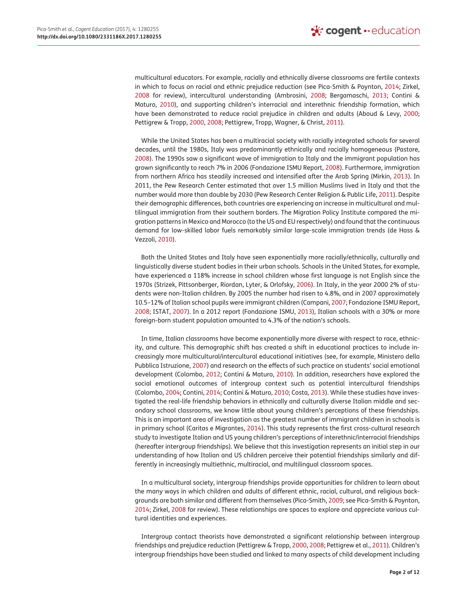<span id="page-2-24"></span><span id="page-2-22"></span><span id="page-2-8"></span><span id="page-2-2"></span><span id="page-2-1"></span>multicultural educators. For example, racially and ethnically diverse classrooms are fertile contexts in which to focus on racial and ethnic prejudice reduction (see Pica-Smith & Poynton, [2014](#page-12-0); Zirkel, [2008](#page-12-1) for review), intercultural understanding (Ambrosini, [2008;](#page-11-0) Bergamaschi, [2013;](#page-11-1) Contini & Maturo, [2010\)](#page-11-2), and supporting children's interracial and interethnic friendship formation, which have been demonstrated to reduce racial prejudice in children and adults (Aboud & Levy, [2000;](#page-10-3) Pettigrew & Tropp, [2000](#page-12-2), [2008;](#page-12-3) Pettigrew, Tropp, Wagner, & Christ, [2011\)](#page-12-4).

<span id="page-2-20"></span><span id="page-2-19"></span><span id="page-2-18"></span><span id="page-2-17"></span><span id="page-2-16"></span><span id="page-2-15"></span><span id="page-2-11"></span><span id="page-2-0"></span>While the United States has been a multiracial society with racially integrated schools for several decades, until the 1980s, Italy was predominantly ethnically and racially homogeneous (Pastore, [2008](#page-12-5)). The 1990s saw a significant wave of immigration to Italy and the immigrant population has grown significantly to reach 7% in 2006 (Fondazione ISMU Report, [2008](#page-11-3)). Furthermore, immigration from northern Africa has steadily increased and intensified after the Arab Spring (Mirkin, [2013](#page-12-6)). In 2011, the Pew Research Center estimated that over 1.5 million Muslims lived in Italy and that the number would more than double by 2030 (Pew Research Center Religion & Public Life, [2011\)](#page-12-7). Despite their demographic differences, both countries are experiencing an increase in multicultural and multilingual immigration from their southern borders. The Migration Policy Institute compared the migration patterns in Mexico and Morocco (to the US and EU respectively) and found that the continuous demand for low-skilled labor fuels remarkably similar large-scale immigration trends (de Hass & Vezzoli, [2010](#page-11-4)).

<span id="page-2-23"></span><span id="page-2-10"></span>Both the United States and Italy have seen exponentially more racially/ethnically, culturally and linguistically diverse student bodies in their urban schools. Schools in the United States, for example, have experienced a 118% increase in school children whose first language is not English since the 1970s (Strizek, Pittsonberger, Riordan, Lyter, & Orlofsky, [2006\)](#page-12-8). In Italy, in the year 2000 2% of students were non-Italian children. By 2005 the number had risen to 4.8%, and in 2007 approximately 10.5–12% of Italian school pupils were immigrant children (Campani, [2007](#page-11-5); Fondazione ISMU Report, [2008](#page-11-3); ISTAT, [2007\)](#page-11-6). In a 2012 report (Fondazione ISMU, [2013\)](#page-11-7), Italian schools with a 30% or more foreign-born student population amounted to 4.3% of the nation's schools.

<span id="page-2-14"></span><span id="page-2-13"></span><span id="page-2-12"></span><span id="page-2-9"></span><span id="page-2-7"></span><span id="page-2-6"></span><span id="page-2-5"></span><span id="page-2-3"></span>In time, Italian classrooms have become exponentially more diverse with respect to race, ethnicity, and culture. This demographic shift has created a shift in educational practices to include increasingly more multicultural/intercultural educational initiatives (see, for example, Ministero della Pubblica Istruzione, [2007\)](#page-12-9) and research on the effects of such practice on students' social emotional development (Colombo, [2012](#page-11-8); Contini & Maturo, [2010](#page-11-2)). In addition, researchers have explored the social emotional outcomes of intergroup context such as potential intercultural friendships (Colombo, [2004](#page-11-9); Contini, [2014](#page-11-10); Contini & Maturo, [2010](#page-11-2); Costa, [2013\)](#page-11-11). While these studies have investigated the real-life friendship behaviors in ethnically and culturally diverse Italian middle and secondary school classrooms, we know little about young children's perceptions of these friendships. This is an important area of investigation as the greatest number of immigrant children in schools is in primary school (Caritas e Migrantes, [2014\)](#page-11-12). This study represents the first cross-cultural research study to investigate Italian and US young children's perceptions of interethnic/interracial friendships (hereafter intergroup friendships). We believe that this investigation represents an initial step in our understanding of how Italian and US children perceive their potential friendships similarly and differently in increasingly multiethnic, multiracial, and multilingual classroom spaces.

<span id="page-2-21"></span><span id="page-2-4"></span>In a multicultural society, intergroup friendships provide opportunities for children to learn about the many ways in which children and adults of different ethnic, racial, cultural, and religious backgrounds are both similar and different from themselves (Pica-Smith, [2009](#page-12-10); see Pica-Smith & Poynton, [2014](#page-12-0); Zirkel, [2008](#page-12-1) for review). These relationships are spaces to explore and appreciate various cultural identities and experiences.

Intergroup contact theorists have demonstrated a significant relationship between intergroup friendships and prejudice reduction (Pettigrew & Tropp, [2000](#page-12-2), [2008](#page-12-3); Pettigrew et al., [2011\)](#page-12-4). Children's intergroup friendships have been studied and linked to many aspects of child development including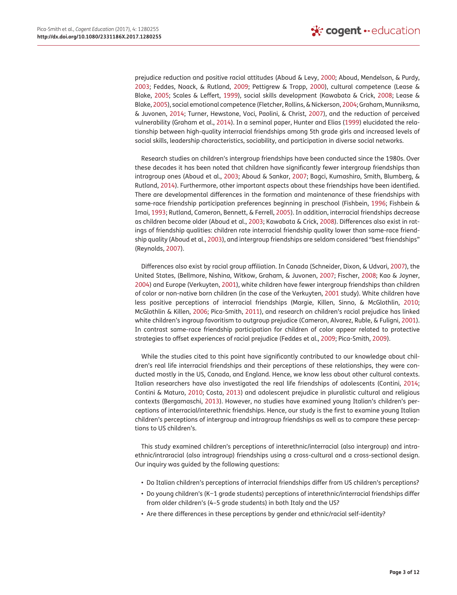<span id="page-3-22"></span><span id="page-3-20"></span><span id="page-3-14"></span><span id="page-3-13"></span><span id="page-3-10"></span><span id="page-3-9"></span><span id="page-3-5"></span><span id="page-3-0"></span>prejudice reduction and positive racial attitudes (Aboud & Levy, [2000](#page-10-3); Aboud, Mendelson, & Purdy, [2003](#page-11-13); Feddes, Noack, & Rutland, [2009](#page-11-14); Pettigrew & Tropp, [2000](#page-12-2)), cultural competence (Lease & Blake, [2005](#page-11-15); Scales & Leffert, [1999](#page-12-11)), social skills development (Kawabata & Crick, [2008](#page-11-16); Lease & Blake, [2005\)](#page-11-15), social emotional competence (Fletcher, Rollins, & Nickerson, [2004;](#page-11-17) Graham, Munniksma, & Juvonen, [2014;](#page-11-18) Turner, Hewstone, Voci, Paolini, & Christ, [2007](#page-12-12)), and the reduction of perceived vulnerability (Graham et al., [2014](#page-11-18)). In a seminal paper, Hunter and Elias ([1999](#page-11-19)) elucidated the relationship between high-quality interracial friendships among 5th grade girls and increased levels of social skills, leadership characteristics, sociability, and participation in diverse social networks.

<span id="page-3-19"></span><span id="page-3-11"></span><span id="page-3-8"></span><span id="page-3-7"></span><span id="page-3-2"></span><span id="page-3-1"></span>Research studies on children's intergroup friendships have been conducted since the 1980s. Over these decades it has been noted that children have significantly fewer intergroup friendships than intragroup ones (Aboud et al., [2003;](#page-11-13) Aboud & Sankar, [2007](#page-11-20); Bagci, Kumashiro, Smith, Blumberg, & Rutland, [2014](#page-11-21)). Furthermore, other important aspects about these friendships have been identified. There are developmental differences in the formation and maintenance of these friendships with same-race friendship participation preferences beginning in preschool (Fishbein, [1996;](#page-11-22) Fishbein & Imai, [1993](#page-11-23); Rutland, Cameron, Bennett, & Ferrell, [2005\)](#page-12-13). In addition, interracial friendships decrease as children become older (Aboud et al., [2003;](#page-11-13) Kawabata & Crick, [2008](#page-11-16)). Differences also exist in ratings of friendship qualities: children rate interracial friendship quality lower than same-race friendship quality (Aboud et al., [2003](#page-11-13)), and intergroup friendships are seldom considered "best friendships" (Reynolds, [2007\)](#page-12-14).

<span id="page-3-23"></span><span id="page-3-21"></span><span id="page-3-18"></span><span id="page-3-17"></span><span id="page-3-16"></span><span id="page-3-15"></span><span id="page-3-12"></span><span id="page-3-6"></span><span id="page-3-3"></span>Differences also exist by racial group affiliation. In Canada (Schneider, Dixon, & Udvari, [2007](#page-12-15)), the United States, (Bellmore, Nishina, Witkow, Graham, & Juvonen, [2007;](#page-11-24) Fischer, [2008;](#page-11-25) Kao & Joyner, [2004](#page-11-26)) and Europe (Verkuyten, [2001](#page-12-16)), white children have fewer intergroup friendships than children of color or non-native born children (in the case of the Verkuyten, [2001](#page-12-16) study). White children have less positive perceptions of interracial friendships (Margie, Killen, Sinno, & McGlothlin, [2010;](#page-11-27) McGlothlin & Killen, [2006;](#page-11-28) Pica-Smith, [2011](#page-12-17)), and research on children's racial prejudice has linked white children's ingroup favoritism to outgroup prejudice (Cameron, Alvarez, Ruble, & Fuligni, [2001](#page-11-29)). In contrast same-race friendship participation for children of color appear related to protective strategies to offset experiences of racial prejudice (Feddes et al., [2009](#page-11-14); Pica-Smith, [2009](#page-12-10)).

<span id="page-3-4"></span>While the studies cited to this point have significantly contributed to our knowledge about children's real life interracial friendships and their perceptions of these relationships, they were conducted mostly in the US, Canada, and England. Hence, we know less about other cultural contexts. Italian researchers have also investigated the real life friendships of adolescents (Contini, [2014;](#page-11-10) Contini & Maturo, [2010](#page-11-2); Costa, [2013](#page-11-11)) and adolescent prejudice in pluralistic cultural and religious contexts (Bergamaschi, [2013\)](#page-11-1). However, no studies have examined young Italian's children's perceptions of interracial/interethnic friendships. Hence, our study is the first to examine young Italian children's perceptions of intergroup and intragroup friendships as well as to compare these perceptions to US children's.

This study examined children's perceptions of interethnic/interracial (also intergroup) and intraethnic/intraracial (also intragroup) friendships using a cross-cultural and a cross-sectional design. Our inquiry was guided by the following questions:

- Do Italian children's perceptions of interracial friendships differ from US children's perceptions?
- Do young children's (K−1 grade students) perceptions of interethnic/interracial friendships differ from older children's (4–5 grade students) in both Italy and the US?
- Are there differences in these perceptions by gender and ethnic/racial self-identity?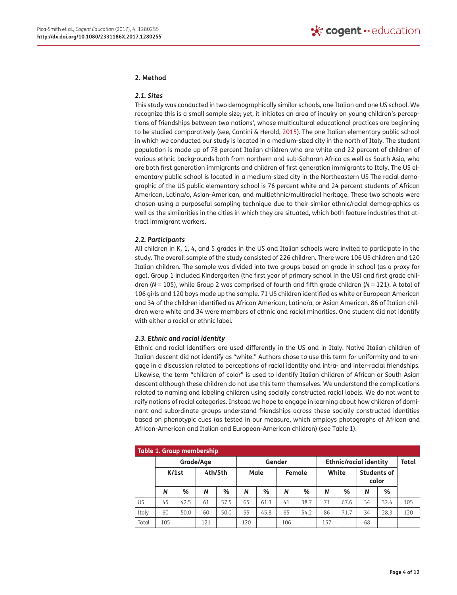### **2. Method**

#### *2.1. Sites*

<span id="page-4-1"></span>This study was conducted in two demographically similar schools, one Italian and one US school. We recognize this is a small sample size; yet, it initiates an area of inquiry on young children's perceptions of friendships between two nations', whose multicultural educational practices are beginning to be studied comparatively (see, Contini & Herold, [2015](#page-11-30)). The one Italian elementary public school in which we conducted our study is located in a medium-sized city in the north of Italy. The student population is made up of 78 percent Italian children who are white and 22 percent of children of various ethnic backgrounds both from northern and sub-Saharan Africa as well as South Asia, who are both first generation immigrants and children of first generation immigrants to Italy. The US elementary public school is located in a medium-sized city in the Northeastern US The racial demographic of the US public elementary school is 76 percent white and 24 percent students of African American, Latina/o, Asian-American, and multiethnic/multiracial heritage. These two schools were chosen using a purposeful sampling technique due to their similar ethnic/racial demographics as well as the similarities in the cities in which they are situated, which both feature industries that attract immigrant workers.

## *2.2. Participants*

All children in K, 1, 4, and 5 grades in the US and Italian schools were invited to participate in the study. The overall sample of the study consisted of 226 children. There were 106 US children and 120 Italian children. The sample was divided into two groups based on grade in school (as a proxy for age). Group 1 included Kindergarten (the first year of primary school in the US) and first grade children (*N* = 105), while Group 2 was comprised of fourth and fifth grade children (*N* = 121). A total of 106 girls and 120 boys made up the sample. 71 US children identified as white or European American and 34 of the children identified as African American, Latino/a, or Asian American. 86 of Italian children were white and 34 were members of ethnic and racial minorities. One student did not identify with either a racial or ethnic label.

#### *2.3. Ethnic and racial identity*

Ethnic and racial identifiers are used differently in the US and in Italy. Native Italian children of Italian descent did not identify as "white." Authors chose to use this term for uniformity and to engage in a discussion related to perceptions of racial identity and intra- and inter-racial friendships. Likewise, the term "children of color" is used to identify Italian children of African or South Asian descent although these children do not use this term themselves. We understand the complications related to naming and labeling children using socially constructed racial labels. We do not want to reify notions of racial categories. Instead we hope to engage in learning about how children of dominant and subordinate groups understand friendships across these socially constructed identities based on phenotypic cues (as tested in our measure, which employs photographs of African and African-American and Italian and European-American children) (see Table [1](#page-4-0)).

<span id="page-4-0"></span>

| Table 1. Group membership |           |      |         |      |        |      |        |                               |       |      |                             |       |     |
|---------------------------|-----------|------|---------|------|--------|------|--------|-------------------------------|-------|------|-----------------------------|-------|-----|
|                           | Grade/Age |      |         |      | Gender |      |        | <b>Ethnic/racial identity</b> |       |      |                             | Total |     |
|                           | $K/1$ st  |      | 4th/5th |      | Male   |      | Female |                               | White |      | <b>Students of</b><br>color |       |     |
|                           | N         | %    | N       | %    | N      | ℅    | N      | %                             | N     | ℅    | N                           | %     |     |
| US                        | 45        | 42.5 | 61      | 57.5 | 65     | 61.3 | 41     | 38.7                          | 71    | 67.6 | 34                          | 32.4  | 105 |
| Italy                     | 60        | 50.0 | 60      | 50.0 | 55     | 45.8 | 65     | 54.2                          | 86    | 71.7 | 34                          | 28.3  | 120 |
| Total                     | 105       |      | 121     |      | 120    |      | 106    |                               | 157   |      | 68                          |       |     |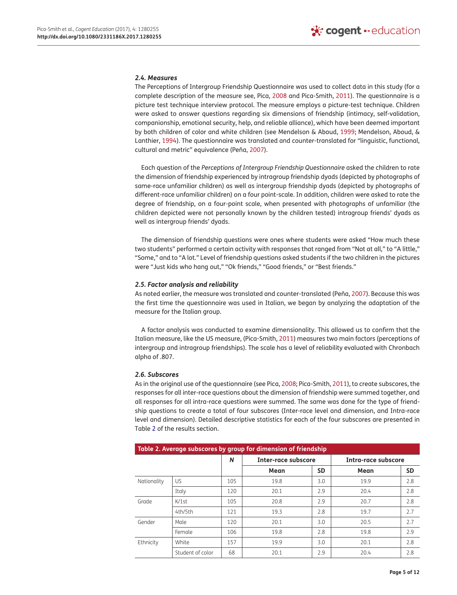### *2.4. Measures*

<span id="page-5-4"></span>The Perceptions of Intergroup Friendship Questionnaire was used to collect data in this study (for a complete description of the measure see, Pica, [2008](#page-12-18) and Pica-Smith, [2011](#page-12-17)). The questionnaire is a picture test technique interview protocol. The measure employs a picture-test technique. Children were asked to answer questions regarding six dimensions of friendship (intimacy, self-validation, companionship, emotional security, help, and reliable alliance), which have been deemed important by both children of color and white children (see Mendelson & Aboud, [1999](#page-11-31); Mendelson, Aboud, & Lanthier, [1994](#page-11-32)). The questionnaire was translated and counter-translated for "linguistic, functional, cultural and metric" equivalence (Peña, [2007](#page-12-19)).

<span id="page-5-3"></span><span id="page-5-2"></span><span id="page-5-1"></span>Each question of the *Perceptions of Intergroup Friendship Questionnaire* asked the children to rate the dimension of friendship experienced by intragroup friendship dyads (depicted by photographs of same-race unfamiliar children) as well as intergroup friendship dyads (depicted by photographs of different-race unfamiliar children) on a four point-scale. In addition, children were asked to rate the degree of friendship, on a four-point scale, when presented with photographs of unfamiliar (the children depicted were not personally known by the children tested) intragroup friends' dyads as well as intergroup friends' dyads.

The dimension of friendship questions were ones where students were asked "How much these two students" performed a certain activity with responses that ranged from "Not at all," to "A little," "Some," and to "A lot." Level of friendship questions asked students if the two children in the pictures were "Just kids who hang out," "Ok friends," "Good friends," or "Best friends."

#### *2.5. Factor analysis and reliability*

As noted earlier, the measure was translated and counter-translated (Peña, [2007](#page-12-19)). Because this was the first time the questionnaire was used in Italian, we began by analyzing the adaptation of the measure for the Italian group.

A factor analysis was conducted to examine dimensionality. This allowed us to confirm that the Italian measure, like the US measure, (Pica-Smith, [2011\)](#page-12-17) measures two main factors (perceptions of intergroup and intragroup friendships). The scale has a level of reliability evaluated with Chronbach alpha of .807.

#### *2.6. Subscores*

As in the original use of the questionnaire (see Pica, [2008;](#page-12-18) Pica-Smith, [2011\)](#page-12-17), to create subscores, the responses for all inter-race questions about the dimension of friendship were summed together, and all responses for all intra-race questions were summed. The same was done for the type of friendship questions to create a total of four subscores (Inter-race level and dimension, and Intra-race level and dimension). Detailed descriptive statistics for each of the four subscores are presented in Table [2](#page-5-0) of the results section.

<span id="page-5-0"></span>

| Table 2. Average subscores by group for dimension of friendship |                  |     |                     |           |                     |           |  |  |  |
|-----------------------------------------------------------------|------------------|-----|---------------------|-----------|---------------------|-----------|--|--|--|
|                                                                 |                  | N   | Inter-race subscore |           | Intra-race subscore |           |  |  |  |
|                                                                 |                  |     | Mean                | <b>SD</b> | Mean                | <b>SD</b> |  |  |  |
| Nationality                                                     | US               | 105 | 19.8                | 3.0       | 19.9                | 2.8       |  |  |  |
|                                                                 | Italy            | 120 | 20.1                | 2.9       | 20.4                | 2.8       |  |  |  |
| Grade                                                           | $K/1$ st         | 105 | 20.8                | 2.9       | 20.7                | 2.8       |  |  |  |
|                                                                 | 4th/5th          | 121 | 19.3                | 2.8       | 19.7                | 2.7       |  |  |  |
| Gender                                                          | Male             | 120 | 20.1                | 3.0       | 20.5                | 2.7       |  |  |  |
|                                                                 | Female           | 106 | 19.8                | 2.8       | 19.8                | 2.9       |  |  |  |
| Ethnicity                                                       | White            | 157 | 19.9                | 3.0       | 20.1                | 2.8       |  |  |  |
|                                                                 | Student of color | 68  | 20.1                | 2.9       | 20.4                | 2.8       |  |  |  |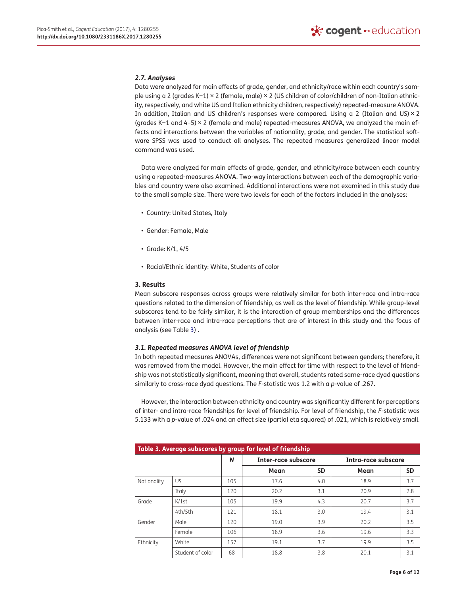## *2.7. Analyses*

Data were analyzed for main effects of grade, gender, and ethnicity/race within each country's sample using a 2 (grades K−1) × 2 (female, male) × 2 (US children of color/children of non-Italian ethnicity, respectively, and white US and Italian ethnicity children, respectively) repeated-measure ANOVA. In addition, Italian and US children's responses were compared. Using a 2 (Italian and US) $\times$ 2 (grades K−1 and 4–5) × 2 (female and male) repeated-measures ANOVA, we analyzed the main effects and interactions between the variables of nationality, grade, and gender. The statistical software SPSS was used to conduct all analyses. The repeated measures generalized linear model command was used.

Data were analyzed for main effects of grade, gender, and ethnicity/race between each country using a repeated-measures ANOVA. Two-way interactions between each of the demographic variables and country were also examined. Additional interactions were not examined in this study due to the small sample size. There were two levels for each of the factors included in the analyses:

- Country: United States, Italy
- Gender: Female, Male
- Grade: K/1, 4/5
- Racial/Ethnic identity: White, Students of color

### **3. Results**

Mean subscore responses across groups were relatively similar for both inter-race and intra-race questions related to the dimension of friendship, as well as the level of friendship. While group-level subscores tend to be fairly similar, it is the interaction of group memberships and the differences between inter-race and intra-race perceptions that are of interest in this study and the focus of analysis (see Table [3\)](#page-6-0) .

## *3.1. Repeated measures ANOVA level of friendship*

In both repeated measures ANOVAs, differences were not significant between genders; therefore, it was removed from the model. However, the main effect for time with respect to the level of friendship was not statistically significant, meaning that overall, students rated same-race dyad questions similarly to cross-race dyad questions. The *F*-statistic was 1.2 with a *p*-value of .267.

However, the interaction between ethnicity and country was significantly different for perceptions of inter- and intra-race friendships for level of friendship. For level of friendship, the *F*-statistic was 5.133 with a *p*-value of .024 and an effect size (partial eta squared) of .021, which is relatively small.

<span id="page-6-0"></span>

| Table 3. Average subscores by group for level of friendship |                  |     |                     |           |                     |           |  |  |  |
|-------------------------------------------------------------|------------------|-----|---------------------|-----------|---------------------|-----------|--|--|--|
|                                                             |                  | N   | Inter-race subscore |           | Intra-race subscore |           |  |  |  |
|                                                             |                  |     | Mean                | <b>SD</b> | Mean                | <b>SD</b> |  |  |  |
| Nationality                                                 | US               | 105 | 17.6                | 4.0       | 18.9                | 3.7       |  |  |  |
|                                                             | Italy            | 120 | 20.2                | 3.1       | 20.9                | 2.8       |  |  |  |
| Grade                                                       | $K/1$ st         | 105 | 19.9                | 4.3       | 20.7                | 3.7       |  |  |  |
|                                                             | 4th/5th          | 121 | 18.1                | 3.0       | 19.4                | 3.1       |  |  |  |
| Gender                                                      | Male             | 120 | 19.0                | 3.9       | 20.2                | 3.5       |  |  |  |
|                                                             | Female           | 106 | 18.9                | 3.6       | 19.6                | 3.3       |  |  |  |
| Ethnicity                                                   | White            | 157 | 19.1                | 3.7       | 19.9                | 3.5       |  |  |  |
|                                                             | Student of color | 68  | 18.8                | 3.8       | 20.1                | 3.1       |  |  |  |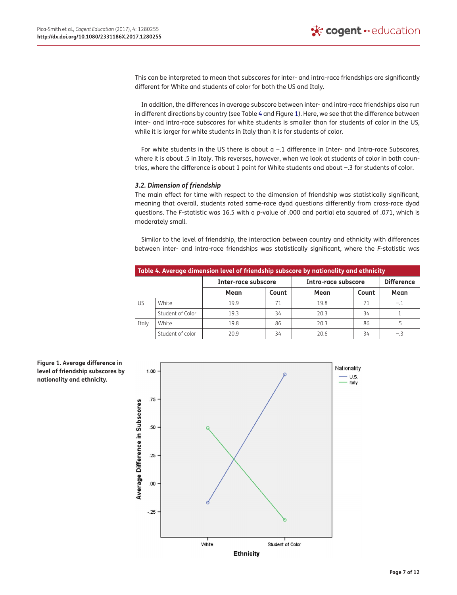This can be interpreted to mean that subscores for inter- and intra-race friendships are significantly different for White and students of color for both the US and Italy.

In addition, the differences in average subscore between inter- and intra-race friendships also run in different directions by country (see Table [4](#page-7-0) and Figure [1\)](#page-7-1). Here, we see that the difference between inter- and intra-race subscores for white students is smaller than for students of color in the US, while it is larger for white students in Italy than it is for students of color.

For white students in the US there is about a −.1 difference in Inter- and Intra-race Subscores, where it is about .5 in Italy. This reverses, however, when we look at students of color in both countries, where the difference is about 1 point for White students and about −.3 for students of color.

## *3.2. Dimension of friendship*

The main effect for time with respect to the dimension of friendship was statistically significant, meaning that overall, students rated same-race dyad questions differently from cross-race dyad questions. The *F*-statistic was 16.5 with a *p*-value of .000 and partial eta squared of .071, which is moderately small.

Similar to the level of friendship, the interaction between country and ethnicity with differences between inter- and intra-race friendships was statistically significant, where the *F*-statistic was

<span id="page-7-0"></span>

| Table 4. Average dimension level of friendship subscore by nationality and ethnicity |                  |                     |       |                     |                   |       |  |  |  |
|--------------------------------------------------------------------------------------|------------------|---------------------|-------|---------------------|-------------------|-------|--|--|--|
|                                                                                      |                  | Inter-race subscore |       | Intra-race subscore | <b>Difference</b> |       |  |  |  |
|                                                                                      |                  | Mean                | Count | Mean                | Count             | Mean  |  |  |  |
| US                                                                                   | White            | 19.9                | 71    | 19.8                | 71                | $-.1$ |  |  |  |
|                                                                                      | Student of Color | 19.3                | 34    | 20.3                | 34                |       |  |  |  |
| Italy                                                                                | White            | 19.8                | 86    | 20.3                | 86                |       |  |  |  |
|                                                                                      | Student of color | 20.9                | 34    | 20.6                | 34                | -.3   |  |  |  |

<span id="page-7-1"></span>

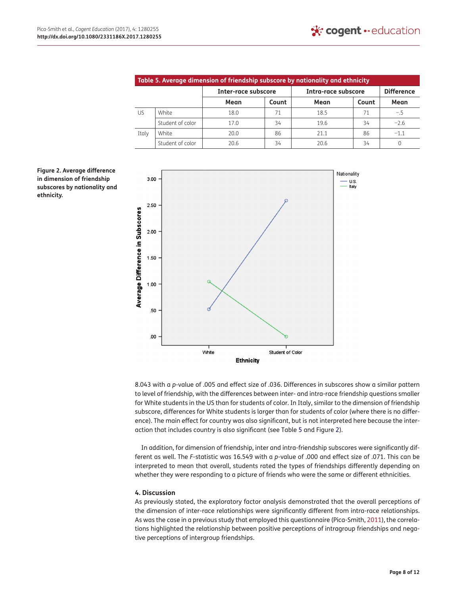<span id="page-8-0"></span>

| Table 5. Average dimension of friendship subscore by nationality and ethnicity |                  |                     |       |                     |                   |        |  |  |  |
|--------------------------------------------------------------------------------|------------------|---------------------|-------|---------------------|-------------------|--------|--|--|--|
|                                                                                |                  | Inter-race subscore |       | Intra-race subscore | <b>Difference</b> |        |  |  |  |
|                                                                                |                  | Mean                | Count | Mean                | Count             | Mean   |  |  |  |
| US.                                                                            | White            | 18.0                | 71    | 18.5                | 71                | $-.5$  |  |  |  |
|                                                                                | Student of color | 17.0                | 34    | 19.6                | 34                | $-2.6$ |  |  |  |
| Italy                                                                          | White            | 20.0                | 86    | 21.1                | 86                | $-1.1$ |  |  |  |
|                                                                                | Student of color | 20.6                | 34    | 20.6                | 34                |        |  |  |  |

<span id="page-8-1"></span>**Figure 2. Average difference in dimension of friendship subscores by nationality and ethnicity.**



8.043 with a *p*-value of .005 and effect size of .036. Differences in subscores show a similar pattern to level of friendship, with the differences between inter- and intra-race friendship questions smaller for White students in the US than for students of color. In Italy, similar to the dimension of friendship subscore, differences for White students is larger than for students of color (where there is no difference). The main effect for country was also significant, but is not interpreted here because the interaction that includes country is also significant (see Table [5](#page-8-0) and Figure [2\)](#page-8-1).

In addition, for dimension of friendship, inter and intra-friendship subscores were significantly different as well. The *F*-statistic was 16.549 with a *p*-value of .000 and effect size of .071. This can be interpreted to mean that overall, students rated the types of friendships differently depending on whether they were responding to a picture of friends who were the same or different ethnicities.

## **4. Discussion**

As previously stated, the exploratory factor analysis demonstrated that the overall perceptions of the dimension of inter-race relationships were significantly different from intra-race relationships. As was the case in a previous study that employed this questionnaire (Pica-Smith, [2011\)](#page-12-17), the correlations highlighted the relationship between positive perceptions of intragroup friendships and negative perceptions of intergroup friendships.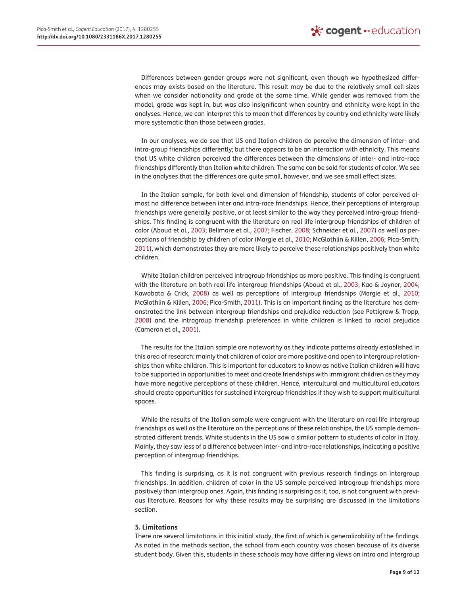Differences between gender groups were not significant, even though we hypothesized differences may exists based on the literature. This result may be due to the relatively small cell sizes when we consider nationality and grade at the same time. While gender was removed from the model, grade was kept in, but was also insignificant when country and ethnicity were kept in the analyses. Hence, we can interpret this to mean that differences by country and ethnicity were likely more systematic than those between grades.

In our analyses, we do see that US and Italian children do perceive the dimension of inter- and intra-group friendships differently; but there appears to be an interaction with ethnicity. This means that US white children perceived the differences between the dimensions of inter- and intra-race friendships differently than Italian white children. The same can be said for students of color. We see in the analyses that the differences are quite small, however, and we see small effect sizes.

In the Italian sample, for both level and dimension of friendship, students of color perceived almost no difference between inter and intra-race friendships. Hence, their perceptions of intergroup friendships were generally positive, or at least similar to the way they perceived intra-group friendships. This finding is congruent with the literature on real life intergroup friendships of children of color (Aboud et al., [2003](#page-11-13); Bellmore et al., [2007](#page-11-24); Fischer, [2008](#page-11-25); Schneider et al., [2007](#page-12-15)) as well as perceptions of friendship by children of color (Margie et al., [2010](#page-11-27); McGlothlin & Killen, [2006;](#page-11-28) Pica-Smith, [2011](#page-12-17)), which demonstrates they are more likely to perceive these relationships positively than white children.

White Italian children perceived intragroup friendships as more positive. This finding is congruent with the literature on both real life intergroup friendships (Aboud et al., [2003;](#page-11-13) Kao & Joyner, [2004;](#page-11-26) Kawabata & Crick, [2008](#page-11-16)) as well as perceptions of intergroup friendships (Margie et al., [2010;](#page-11-27) McGlothlin & Killen, [2006;](#page-11-28) Pica-Smith, [2011\)](#page-12-17). This is an important finding as the literature has demonstrated the link between intergroup friendships and prejudice reduction (see Pettigrew & Tropp, [2008](#page-12-3)) and the intragroup friendship preferences in white children is linked to racial prejudice (Cameron et al., [2001](#page-11-29)).

The results for the Italian sample are noteworthy as they indicate patterns already established in this area of research: mainly that children of color are more positive and open to intergroup relationships than white children. This is important for educators to know as native Italian children will have to be supported in opportunities to meet and create friendships with immigrant children as they may have more negative perceptions of these children. Hence, intercultural and multicultural educators should create opportunities for sustained intergroup friendships if they wish to support multicultural spaces.

While the results of the Italian sample were congruent with the literature on real life intergroup friendships as well as the literature on the perceptions of these relationships, the US sample demonstrated different trends. White students in the US saw a similar pattern to students of color in Italy. Mainly, they saw less of a difference between inter- and intra-race relationships, indicating a positive perception of intergroup friendships.

This finding is surprising, as it is not congruent with previous research findings on intergroup friendships. In addition, children of color in the US sample perceived intragroup friendships more positively than intergroup ones. Again, this finding is surprising as it, too, is not congruent with previous literature. Reasons for why these results may be surprising are discussed in the limitations section.

## **5. Limitations**

There are several limitations in this initial study, the first of which is generalizability of the findings. As noted in the methods section, the school from each country was chosen because of its diverse student body. Given this, students in these schools may have differing views on intra and intergroup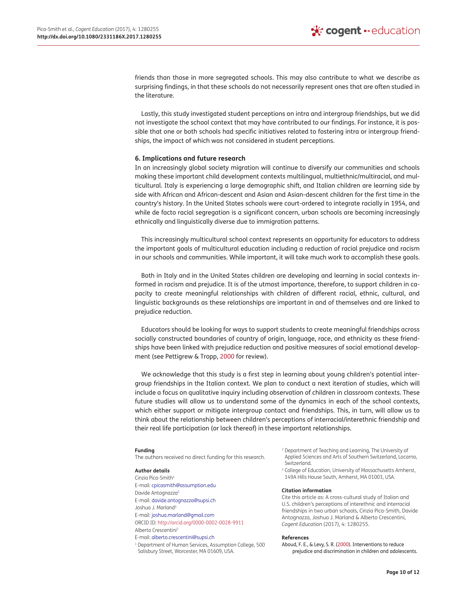friends than those in more segregated schools. This may also contribute to what we describe as surprising findings, in that these schools do not necessarily represent ones that are often studied in the literature.

Lastly, this study investigated student perceptions on intra and intergroup friendships, but we did not investigate the school context that may have contributed to our findings. For instance, it is possible that one or both schools had specific initiatives related to fostering intra or intergroup friendships, the impact of which was not considered in student perceptions.

### **6. Implications and future research**

In an increasingly global society migration will continue to diversify our communities and schools making these important child development contexts multilingual, multiethnic/multiracial, and multicultural. Italy is experiencing a large demographic shift, and Italian children are learning side by side with African and African-descent and Asian and Asian-descent children for the first time in the country's history. In the United States schools were court-ordered to integrate racially in 1954, and while de facto racial segregation is a significant concern, urban schools are becoming increasingly ethnically and linguistically diverse due to immigration patterns.

This increasingly multicultural school context represents an opportunity for educators to address the important goals of multicultural education including a reduction of racial prejudice and racism in our schools and communities. While important, it will take much work to accomplish these goals.

Both in Italy and in the United States children are developing and learning in social contexts informed in racism and prejudice. It is of the utmost importance, therefore, to support children in capacity to create meaningful relationships with children of different racial, ethnic, cultural, and linguistic backgrounds as these relationships are important in and of themselves and are linked to prejudice reduction.

Educators should be looking for ways to support students to create meaningful friendships across socially constructed boundaries of country of origin, language, race, and ethnicity as these friendships have been linked with prejudice reduction and positive measures of social emotional development (see Pettigrew & Tropp, [2000](#page-12-2) for review).

We acknowledge that this study is a first step in learning about young children's potential intergroup friendships in the Italian context. We plan to conduct a next iteration of studies, which will include a focus on qualitative inquiry including observation of children in classroom contexts. These future studies will allow us to understand some of the dynamics in each of the school contexts, which either support or mitigate intergroup contact and friendships. This, in turn, will allow us to think about the relationship between children's perceptions of interracial/interethnic friendship and their real life participation (or lack thereof) in these important relationships.

#### **Funding**

The authors received no direct funding for this research.

#### **Author details**

<span id="page-10-0"></span>Cinzia Pica-Smith[1](#page-1-1) E-mail: [cpicasmith@assumption.edu](mailto:cpicasmith@assumption.edu) Davide Antognazz[a2](#page-1-1) E-mail: [davide.antognazza@supsi.ch](mailto:davide.antognazza@supsi.ch) Joshua J. Marland<sup>3</sup> E-mail: [joshua.marland@gmail.com](mailto:joshua.marland@gmail.com) ORCID ID:<http://orcid.org/0000-0002-0028-9911> Alberto Crescentini[2](#page-1-1) E-mail: [alberto.crescentini@supsi.ch](mailto:alberto.crescentini@supsi.ch) <sup>1</sup> Department of Human Services, Assumption College, 500 Salisbury Street, Worcester, MA 01609, USA.

<span id="page-10-1"></span><sup>2</sup> Department of Teaching and Learning, The University of Applied Sciences and Arts of Southern Switzerland, Locarno, Switzerland.

<span id="page-10-2"></span><sup>3</sup> College of Education, University of Massachusetts Amherst, 149A Hills House South, Amherst, MA 01003, USA.

#### **Citation information**

Cite this article as: A cross-cultural study of Italian and U.S. children's perceptions of interethnic and interracial friendships in two urban schools, Cinzia Pica-Smith, Davide Antognazza, Joshua J. Marland & Alberto Crescentini, *Cogent Education* (2017), 4: 1280255.

#### **References**

<span id="page-10-3"></span>Aboud, F. E., & Levy, S. R. [\(2000\)](#page-2-0). Interventions to reduce prejudice and discrimination in children and adolescents.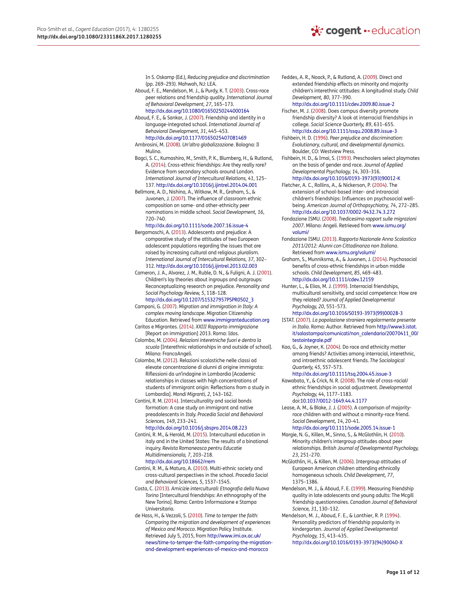In S. Oskamp (Ed.), *Reducing prejudice and discrimination* (pp. 269–293). Mahwah, NJ: LEA.

- <span id="page-11-13"></span>Aboud, F. E., Mendelson, M. J., & Purdy, K. T. [\(2003\)](#page-3-0). Cross-race peer relations and friendship quality. *International Journal of Behavioral Development, 27*, 165–173[.](http://dx.doi.org/10.1080/01650250244000164) <http://dx.doi.org/10.1080/01650250244000164>
- <span id="page-11-20"></span>Aboud, F. E., & Sankar, J. [\(2007](#page-3-1)). Friendship and identity in a language-integrated school. *International Journal of Behavioral Development, 31*, 445–453[.](http://dx.doi.org/10.1177/0165025407081469)

<span id="page-11-0"></span><http://dx.doi.org/10.1177/0165025407081469> Ambrosini, M. [\(2008](#page-2-1)). *Un'altra globalizzazione*. Bologna: Il Mulino.

<span id="page-11-21"></span>Bagci, S. C., Kumashiro, M., Smith, P. K., Blumberg, H., & Rutland, A. ([2014\)](#page-3-2). Cross-ethnic friendships: Are they really rare? Evidence from secondary schools around London. *International Journal of Intercultural Relations, 41*, 125– 137.<http://dx.doi.org/10.1016/j.ijintrel.2014.04.001>

<span id="page-11-24"></span>Bellmore, A. D., Nishina, A., Witkow, M. R., Graham, S., & Juvonen, J. [\(2007\)](#page-3-3). The influence of classroom ethnic composition on same- and other-ethnicity peer nominations in middle school. *Social Development, 16*, 720–740[.](http://dx.doi.org/10.1111/sode.2007.16.issue-4)

#### <http://dx.doi.org/10.1111/sode.2007.16.issue-4>

<span id="page-11-1"></span>Bergamaschi, A. ([2013\)](#page-2-2). Adolescents and prejudice: A comparative study of the attitudes of two European adolescent populations regarding the issues that are raised by increasing cultural and religious pluralism. *International Journal of Intercultural Relations, 37*, 302– 312.<http://dx.doi.org/10.1016/j.ijintrel.2013.02.003>

<span id="page-11-29"></span>Cameron, J. A., Alvarez, J. M., Ruble, D. N., & Fuligni, A. J. ([2001\)](#page-3-4). Children's lay theories about ingroups and outgroups: Reconceptualizing research on preju[di](http://dx.doi.org/10.1207/S15327957PSPR0502_3)ce. *Personality and Social Psychology Review, 5*, 118–128.

[http://dx.doi.org/10.1207/S15327957PSPR0502\\_3](http://dx.doi.org/10.1207/S15327957PSPR0502_3)

- <span id="page-11-5"></span>Campani, G. ([2007](#page-2-3)). *Migration and immigration in Italy: A complex moving landscape*. Migration Citizenship Education. Retrieved from [www.immigranteducation.org](http://www.immigranteducation.org)
- <span id="page-11-12"></span>Caritas e Migrantes. [\(2014\)](#page-2-4). *XXIII Rapporto immigrazione* [Report on immigration] 2013. Roma: Idos. Colombo, M. [\(2004](#page-2-5)). *Relazioni interetniche fuori e dentro la*

<span id="page-11-9"></span>*scuola* [Interethnic relationships in and outside of school]. Milano: FrancoAngeli.

<span id="page-11-8"></span>Colombo, M. [\(2012](#page-2-6)). Relazioni scolastiche nelle classi ad elevate concentrazione di alunni di origine immigrata: Riflessioni da un'indagine in Lombardia [Academic relationships in classes with high concentrations of students of immigrant origin: Reflections from a study in Lombardia]. *Mondi Migranti, 2*, 143–162.

<span id="page-11-10"></span>Contini, R. M. ([2014\)](#page-2-7). Interculturality and social bonds formation: A case study on immigrant and native preadolescents in Italy. *Procedia Social and Behavioral Sciences, 149*, 233–241[.](http://dx.doi.org/10.1016/j.sbspro.2014.08.223)

#### <span id="page-11-30"></span><http://dx.doi.org/10.1016/j.sbspro.2014.08.223> Contini, R. M., & Herold, M. [\(2015\)](#page-4-1). Intercultural education in italy and in the United States: The results of a binational inquiry. *Revista Romaneasca pentru Educatie Multidimensionala, 7*, 203–218[.](http://dx.doi.org/10.18662/rrem) <http://dx.doi.org/10.18662/rrem>

<span id="page-11-2"></span>Contini, R. M., & Maturo, A. ([2010\)](#page-2-8). Multi-ethnic society and cross-cultural perspectives in the school. *Procedia Social and Behavioral Sciences, 5*, 1537–1545.

<span id="page-11-11"></span>Costa, C. [\(2013](#page-2-9)). *Amicizie interculturali: Etnografia della Nuova Torino* [Intercultural friendships: An ethnography of the New Torino]. Roma: Centro Informazione e Stampa Universitaria.

<span id="page-11-4"></span>de Hass, H., & Vezzoli, S. ([2010\)](#page-2-10). *Time to temper the faith: Comparing the migration and development of experiences of Mexico and Morocco*. Migration Policy Institute. Retrieved July 5, 2015, from [http://www.imi.ox.ac.uk/](http://www.imi.ox.ac.uk/news/time-to-temper-the-faith-comparing-the-migration-and-development-experiences-of-mexico-and-morocco) [news/time-to-temper-the-faith-comparing-the-migration](http://www.imi.ox.ac.uk/news/time-to-temper-the-faith-comparing-the-migration-and-development-experiences-of-mexico-and-morocco)[and-development-experiences-of-mexico-and-morocco](http://www.imi.ox.ac.uk/news/time-to-temper-the-faith-comparing-the-migration-and-development-experiences-of-mexico-and-morocco)

<span id="page-11-14"></span>Feddes, A. R., Noack, P., & Rutland, A. [\(2009\)](#page-3-5). Direct and extended friendship effects on minority and majority children's interethnic attitudes: A longitudinal study. *Child Development, 80*, 377–390[.](http://dx.doi.org/10.1111/cdev.2009.80.issue-2)

<span id="page-11-25"></span><http://dx.doi.org/10.1111/cdev.2009.80.issue-2> Fischer, M. J. ([2008](#page-3-6)). Does campus diversity promote friendship diversity? A look at interracial friendships in college. *Social Science Quarterly, 89*, 631–655[.](http://dx.doi.org/10.1111/ssqu.2008.89.issue-3) <http://dx.doi.org/10.1111/ssqu.2008.89.issue-3>

<span id="page-11-22"></span>Fishbein, H. D. [\(1996\)](#page-3-7). *Peer prejudice and discrimination: Evolutionary, cultural, and developmental dynamics*. Boulder, CO: Westview Press.

- <span id="page-11-23"></span>Fishbein, H. D., & Imai, S. [\(1993\)](#page-3-8). Preschoolers select playmates on the basis of gender and race. *Journal [o](http://dx.doi.org/10.1016/0193-3973(93)90012-K)f Applied Developmental Psychology, 14*, 303–316. [http://dx.doi.org/10.1016/0193-3973\(93\)90012-K](http://dx.doi.org/10.1016/0193-3973(93)90012-K)
- <span id="page-11-17"></span>Fletcher, A. C., Rollins, A., & Nickerson, P. ([2004\)](#page-3-9). The extension of school-based inter- and intraracial children's friendships: Influences on psychosocial wellbeing. *American Journal of Orthopsychiatry, 74*, 272–285[.](http://dx.doi.org/10.1037/0002-9432.74.3.272) <http://dx.doi.org/10.1037/0002-9432.74.3.272>
- <span id="page-11-3"></span>Fondazione ISMU. ([2008\)](#page-2-11). *Tredicesimo rapport sulle migrazioni 2007*. Milano: Angeli. Retrieved from [www.ismu.org/](http://www.ismu.org/volumi/) [volumi/](http://www.ismu.org/volumi/)
- <span id="page-11-7"></span>Fondazione ISMU. ([2013\)](#page-2-12). *Rapporto Nazionale Anno Scolastico 2011/2012: Alunni con Cittadinanza non Italiana*. Retrieved from [www.ismu.org/volumi/](http://www.ismu.org/volumi/)
- <span id="page-11-18"></span>Graham, S., Munniksma, A., & Juvonen, J. ([2014\)](#page-3-10). Psychosocial benefits of cross-ethnic friendships in urban middle schools. *Child Development, 85*, 469–483[.](http://dx.doi.org/10.1111/cdev.12159) <http://dx.doi.org/10.1111/cdev.12159>
- <span id="page-11-19"></span>Hunter, L., & Elias, M. J. [\(1999](#page-3-11)). Interracial friendships, multicultural sensitivity, and social competence: How are they related? *Journal of Applied Developmental Psychology, 20*, 551–573[.](http://dx.doi.org/10.1016/S0193-3973(99)00028-3)

[http://dx.doi.org/10.1016/S0193-3973\(99\)00028-3](http://dx.doi.org/10.1016/S0193-3973(99)00028-3)

<span id="page-11-6"></span>ISTAT. ([2007\)](#page-2-13). *La popolazione straniera regolarmente presente in Italia*. Roma: Author. Retrieved from [http://www3.istat.](http://www3.istat.it/salastampa/comunicati/non_calendario/20070411_00/testointegrale.pdf) [it/salastampa/comunicati/non\\_calendario/20070411\\_00/](http://www3.istat.it/salastampa/comunicati/non_calendario/20070411_00/testointegrale.pdf) [testointegrale.pdf](http://www3.istat.it/salastampa/comunicati/non_calendario/20070411_00/testointegrale.pdf)

<span id="page-11-26"></span>Kao, G., & Joyner, K. ([2004\)](#page-3-12). Do race and ethnicity matter among friends? Activities among interracial, interethnic, and intraethnic adolescent friends. *The Sociological Quarterly, 45*, 557–573[.](http://dx.doi.org/10.1111/tsq.2004.45.issue-3)

<span id="page-11-16"></span><http://dx.doi.org/10.1111/tsq.2004.45.issue-3> Kawabata, Y., & Crick, N. R. [\(2008\)](#page-3-13). The role of cross-racial/ ethnic friendships in social adjustment. *Developmental Psychology, 44*, 1177–1183.

<span id="page-11-15"></span>doi:[10.1037/0012-1649.44.4.1177](http://dx.doi.org/10.1037/0012-1649.44.4.1177) Lease, A. M., & Blake, J. J. [\(2005](#page-3-14)). A comparison of majorityrace children with and without a minority-race friend. *Social Development, 14*, 20–41[.](http://dx.doi.org/10.1111/sode.2005.14.issue-1)

<span id="page-11-27"></span><http://dx.doi.org/10.1111/sode.2005.14.issue-1> Margie, N. G., Killen, M., Sinno, S., & McGlothlin, H. ([2010](#page-3-15)). Minority children's intergroup attitudes about peer relationships. *British Journal of Developmental Psychology, 23*, 251–270.

- <span id="page-11-28"></span>McGlothlin, H., & Killen, M. ([2006\)](#page-3-16). Intergroup attitudes of European American children attending ethnically homogeneous schools. *Child Development, 77*, 1375–1386.
- <span id="page-11-31"></span>Mendelson, M. J., & Aboud, F. E. [\(1999](#page-5-1)). Measuring friendship quality in late adolescents and young adults: The Mcgill friendship questionnaires. *Canadian Journal of Behavioral Science, 31*, 130–132.

<span id="page-11-32"></span>Mendelson, M. J., Aboud, F. E., & Lanthier, R. P. ([1994\)](#page-5-2). Personality predictors of friendship popularity in kindergarten. *Journal of [A](http://dx.doi.org/10.1016/0193-3973(94)90040-X)pplied Developmental Psychology, 15*, 413–435. [http://dx.doi.org/10.1016/0193-3973\(94\)90040-X](http://dx.doi.org/10.1016/0193-3973(94)90040-X)